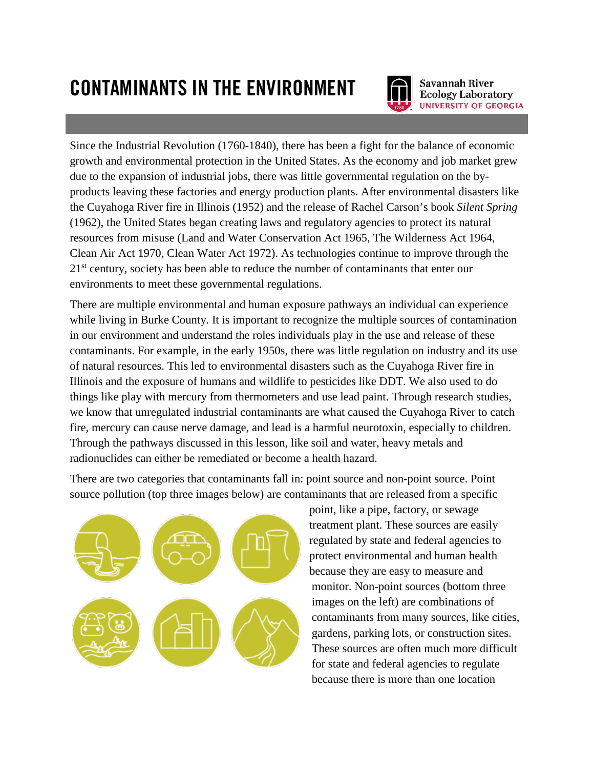## CONTAMINANTS IN THE ENVIRONMENT



Savannah River **Ecology Laboratory UNIVERSITY OF GEORGIA** 

Since the Industrial Revolution (1760-1840), there has been a fight for the balance of economic growth and environmental protection in the United States. As the economy and job market grew due to the expansion of industrial jobs, there was little governmental regulation on the byproducts leaving these factories and energy production plants. After environmental disasters like the Cuyahoga River fire in Illinois (1952) and the release of Rachel Carson's book *Silent Spring* (1962), the United States began creating laws and regulatory agencies to protect its natural resources from misuse (Land and Water Conservation Act 1965, The Wilderness Act 1964, Clean Air Act 1970, Clean Water Act 1972). As technologies continue to improve through the 21<sup>st</sup> century, society has been able to reduce the number of contaminants that enter our environments to meet these governmental regulations.

There are multiple environmental and human exposure pathways an individual can experience while living in Burke County. It is important to recognize the multiple sources of contamination in our environment and understand the roles individuals play in the use and release of these contaminants. For example, in the early 1950s, there was little regulation on industry and its use of natural resources. This led to environmental disasters such as the Cuyahoga River fire in Illinois and the exposure of humans and wildlife to pesticides like DDT. We also used to do things like play with mercury from thermometers and use lead paint. Through research studies, we know that unregulated industrial contaminants are what caused the Cuyahoga River to catch fire, mercury can cause nerve damage, and lead is a harmful neurotoxin, especially to children. Through the pathways discussed in this lesson, like soil and water, heavy metals and radionuclides can either be remediated or become a health hazard.

There are two categories that contaminants fall in: point source and non-point source. Point source pollution (top three images below) are contaminants that are released from a specific



point, like a pipe, factory, or sewage treatment plant. These sources are easily regulated by state and federal agencies to protect environmental and human health because they are easy to measure and monitor. Non-point sources (bottom three images on the left) are combinations of contaminants from many sources, like cities, gardens, parking lots, or construction sites. These sources are often much more difficult for state and federal agencies to regulate because there is more than one location